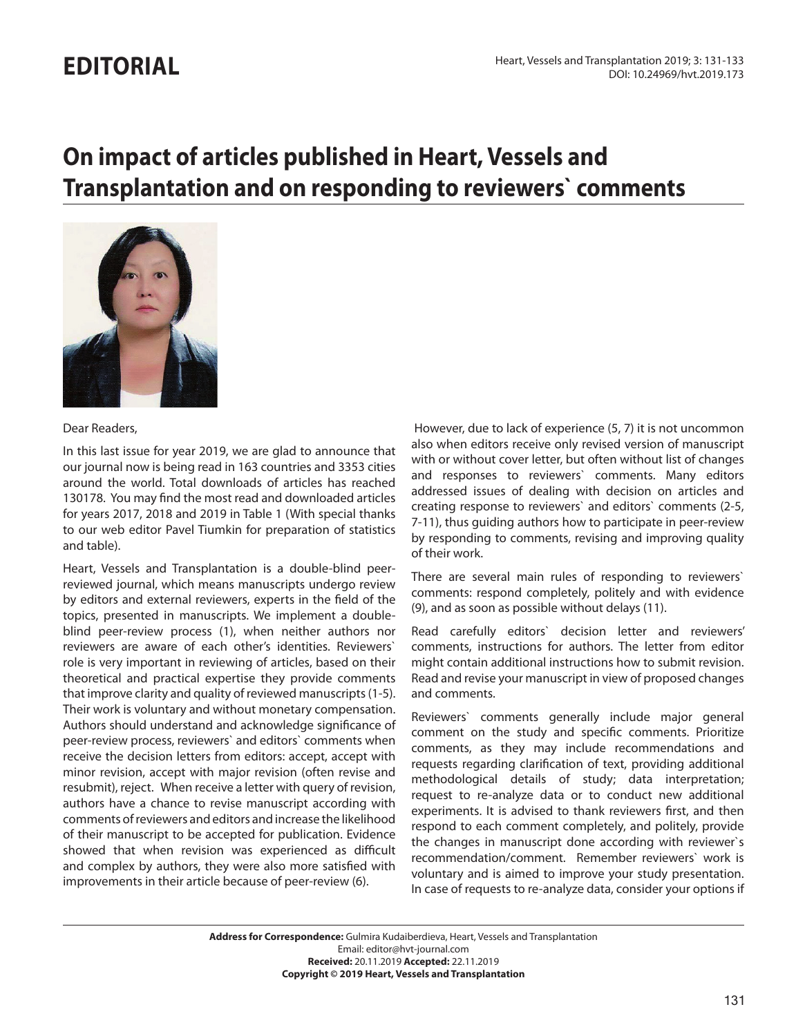## **EDITORIAL**

# **On impact of articles published in Heart, Vessels and Transplantation and on responding to reviewers` comments**



#### Dear Readers,

In this last issue for year 2019, we are glad to announce that our journal now is being read in 163 countries and 3353 cities around the world. Total downloads of articles has reached 130178. You may find the most read and downloaded articles for years 2017, 2018 and 2019 in Table 1 (With special thanks to our web editor Pavel Tiumkin for preparation of statistics and table).

Heart, Vessels and Transplantation is a double-blind peerreviewed journal, which means manuscripts undergo review by editors and external reviewers, experts in the field of the topics, presented in manuscripts. We implement a doubleblind peer-review process (1), when neither authors nor reviewers are aware of each other's identities. Reviewers` role is very important in reviewing of articles, based on their theoretical and practical expertise they provide comments that improve clarity and quality of reviewed manuscripts (1-5). Their work is voluntary and without monetary compensation. Authors should understand and acknowledge significance of peer-review process, reviewers` and editors` comments when receive the decision letters from editors: accept, accept with minor revision, accept with major revision (often revise and resubmit), reject. When receive a letter with query of revision, authors have a chance to revise manuscript according with comments of reviewers and editors and increase the likelihood of their manuscript to be accepted for publication. Evidence showed that when revision was experienced as difficult and complex by authors, they were also more satisfied with improvements in their article because of peer-review (6).

 However, due to lack of experience (5, 7) it is not uncommon also when editors receive only revised version of manuscript with or without cover letter, but often without list of changes and responses to reviewers` comments. Many editors addressed issues of dealing with decision on articles and creating response to reviewers` and editors` comments (2-5, 7-11), thus guiding authors how to participate in peer-review by responding to comments, revising and improving quality of their work.

There are several main rules of responding to reviewers` comments: respond completely, politely and with evidence (9), and as soon as possible without delays (11).

Read carefully editors` decision letter and reviewers' comments, instructions for authors. The letter from editor might contain additional instructions how to submit revision. Read and revise your manuscript in view of proposed changes and comments.

Reviewers` comments generally include major general comment on the study and specific comments. Prioritize comments, as they may include recommendations and requests regarding clarification of text, providing additional methodological details of study; data interpretation; request to re-analyze data or to conduct new additional experiments. It is advised to thank reviewers first, and then respond to each comment completely, and politely, provide the changes in manuscript done according with reviewer`s recommendation/comment. Remember reviewers` work is voluntary and is aimed to improve your study presentation. In case of requests to re-analyze data, consider your options if

**Address for Correspondence:** Gulmira Kudaiberdieva, Heart, Vessels and Transplantation Email: editor@hvt-journal.com **Received:** 20.11.2019 **Accepted:** 22.11.2019 **Copyright © 2019 Heart, Vessels and Transplantation**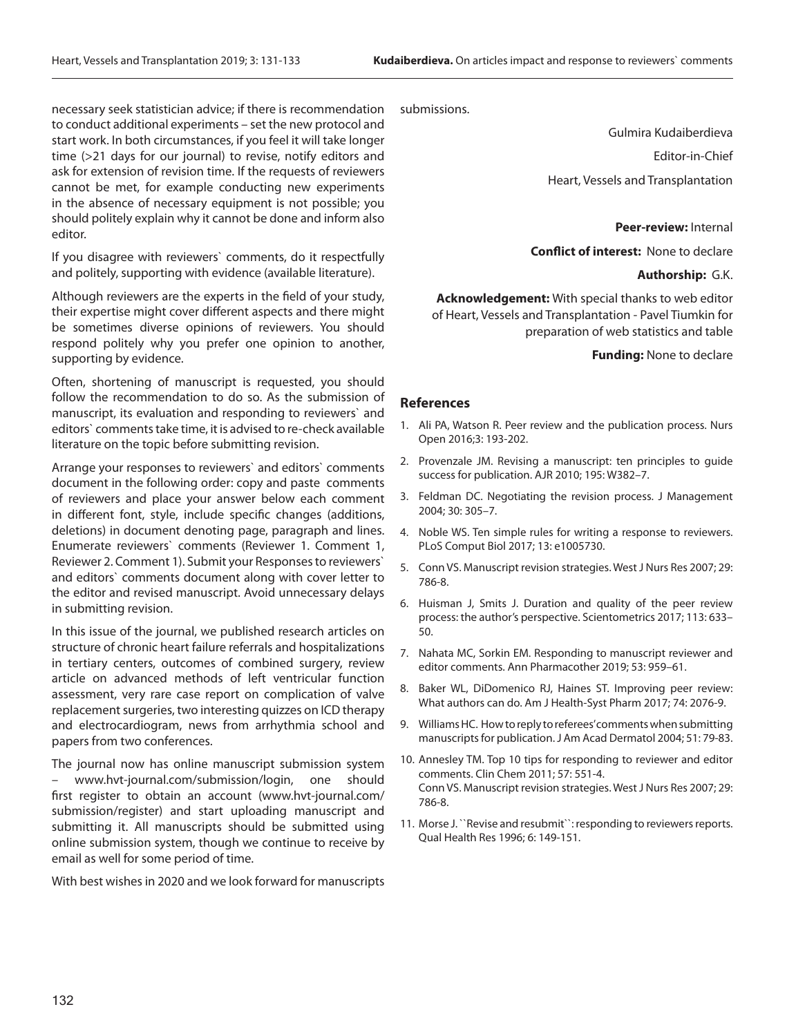necessary seek statistician advice; if there is recommendation to conduct additional experiments – set the new protocol and start work. In both circumstances, if you feel it will take longer time (>21 days for our journal) to revise, notify editors and ask for extension of revision time. If the requests of reviewers cannot be met, for example conducting new experiments in the absence of necessary equipment is not possible; you should politely explain why it cannot be done and inform also editor.

If you disagree with reviewers` comments, do it respectfully and politely, supporting with evidence (available literature).

Although reviewers are the experts in the field of your study, their expertise might cover different aspects and there might be sometimes diverse opinions of reviewers. You should respond politely why you prefer one opinion to another, supporting by evidence.

Often, shortening of manuscript is requested, you should follow the recommendation to do so. As the submission of manuscript, its evaluation and responding to reviewers` and editors` comments take time, it is advised to re-check available literature on the topic before submitting revision.

Arrange your responses to reviewers` and editors` comments document in the following order: copy and paste comments of reviewers and place your answer below each comment in different font, style, include specific changes (additions, deletions) in document denoting page, paragraph and lines. Enumerate reviewers` comments (Reviewer 1. Comment 1, Reviewer 2. Comment 1). Submit your Responses to reviewers` and editors` comments document along with cover letter to the editor and revised manuscript. Avoid unnecessary delays in submitting revision.

In this issue of the journal, we published research articles on structure of chronic heart failure referrals and hospitalizations in tertiary centers, outcomes of combined surgery, review article on advanced methods of left ventricular function assessment, very rare case report on complication of valve replacement surgeries, two interesting quizzes on ICD therapy and electrocardiogram, news from arrhythmia school and papers from two conferences.

The journal now has online manuscript submission system – www.hvt-journal.com/submission/login, one should first register to obtain an account (www.hvt-journal.com/ submission/register) and start uploading manuscript and submitting it. All manuscripts should be submitted using online submission system, though we continue to receive by email as well for some period of time.

With best wishes in 2020 and we look forward for manuscripts

submissions.

Gulmira Kudaiberdieva

Editor-in-Chief

Heart, Vessels and Transplantation

#### **Peer-review:** Internal

**Conflict of interest:** None to declare

#### **Authorship:** G.K.

**Acknowledgement:** With special thanks to web editor of Heart, Vessels and Transplantation - Pavel Tiumkin for preparation of web statistics and table

 **Funding:** None to declare

#### **References**

- 1. Ali PA, Watson R. Peer review and the publication process. Nurs Open 2016;3: 193-202.
- 2. Provenzale JM. Revising a manuscript: ten principles to guide success for publication. AJR 2010; 195: W382–7.
- 3. Feldman DC. Negotiating the revision process. J Management 2004; 30: 305–7.
- 4. Noble WS. Ten simple rules for writing a response to reviewers. PLoS Comput Biol 2017; 13: e1005730.
- 5. Conn VS. Manuscript revision strategies. West J Nurs Res 2007; 29: 786-8.
- 6. Huisman J, Smits J. Duration and quality of the peer review process: the author's perspective. Scientometrics 2017; 113: 633– 50.
- 7. Nahata MC, Sorkin EM. Responding to manuscript reviewer and editor comments. Ann Pharmacother 2019; 53: 959–61.
- 8. Baker WL, DiDomenico RJ, Haines ST. Improving peer review: What authors can do. Am J Health-Syst Pharm 2017; 74: 2076-9.
- 9. Williams HC. How to reply to referees' comments when submitting manuscripts for publication. J Am Acad Dermatol 2004; 51: 79-83.
- 10. Annesley TM. Top 10 tips for responding to reviewer and editor comments. Clin Chem 2011; 57: 551-4. Conn VS. Manuscript revision strategies. West J Nurs Res 2007; 29: 786-8.
- 11. Morse J. ``Revise and resubmit``: responding to reviewers reports. Qual Health Res 1996; 6: 149-151.